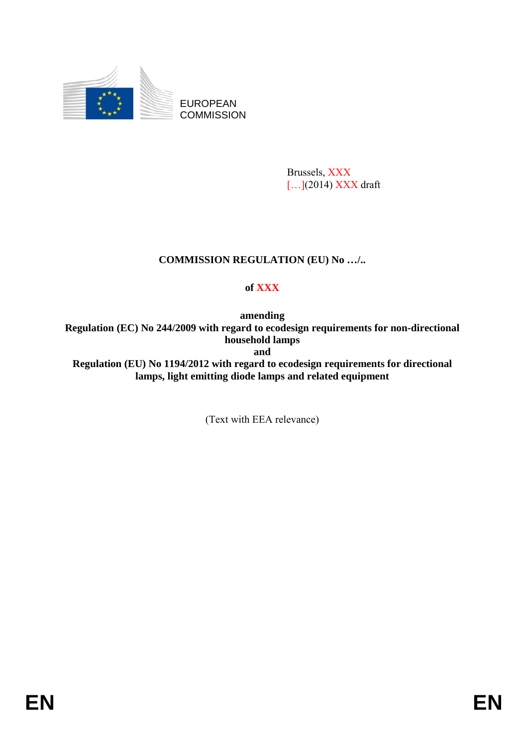

EUROPEAN **COMMISSION** 

> Brussels, XXX [...](2014) XXX draft

# **COMMISSION REGULATION (EU) No …/..**

# **of XXX**

**amending Regulation (EC) No 244/2009 with regard to ecodesign requirements for non-directional household lamps and Regulation (EU) No 1194/2012 with regard to ecodesign requirements for directional lamps, light emitting diode lamps and related equipment** 

(Text with EEA relevance)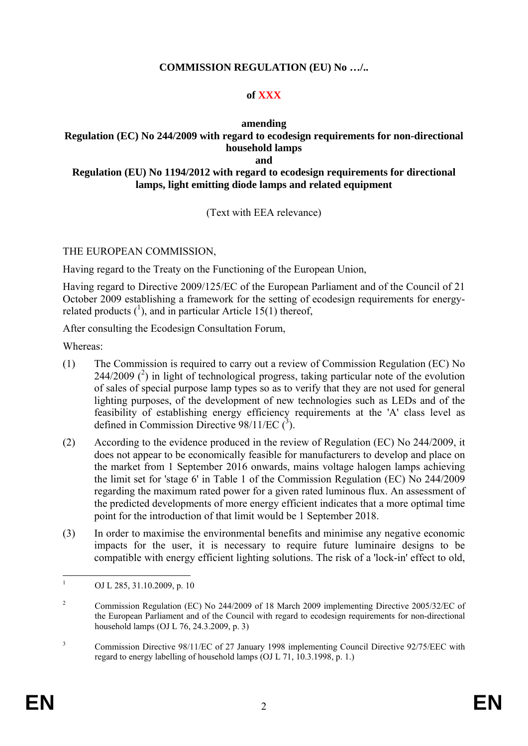### **COMMISSION REGULATION (EU) No …/..**

## **of XXX**

#### **amending**

#### **Regulation (EC) No 244/2009 with regard to ecodesign requirements for non-directional household lamps and**

#### **Regulation (EU) No 1194/2012 with regard to ecodesign requirements for directional lamps, light emitting diode lamps and related equipment**

## (Text with EEA relevance)

THE EUROPEAN COMMISSION,

Having regard to the Treaty on the Functioning of the European Union,

Having regard to Directive 2009/125/EC of the European Parliament and of the Council of 21 October 2009 establishing a framework for the setting of ecodesign requirements for energyrelated products  $({}^{1})$ , and in particular Article 15(1) thereof,

After consulting the Ecodesign Consultation Forum,

Whereas:

- (1) The Commission is required to carry out a review of Commission Regulation (EC) No 244/2009  $(^2)$  in light of technological progress, taking particular note of the evolution of sales of special purpose lamp types so as to verify that they are not used for general lighting purposes, of the development of new technologies such as LEDs and of the feasibility of establishing energy efficiency requirements at the 'A' class level as defined in Commission Directive  $98/11/EC$  (<sup>3</sup>).
- (2) According to the evidence produced in the review of Regulation (EC) No 244/2009, it does not appear to be economically feasible for manufacturers to develop and place on the market from 1 September 2016 onwards, mains voltage halogen lamps achieving the limit set for 'stage 6' in Table 1 of the Commission Regulation (EC) No 244/2009 regarding the maximum rated power for a given rated luminous flux. An assessment of the predicted developments of more energy efficient indicates that a more optimal time point for the introduction of that limit would be 1 September 2018.
- (3) In order to maximise the environmental benefits and minimise any negative economic impacts for the user, it is necessary to require future luminaire designs to be compatible with energy efficient lighting solutions. The risk of a 'lock-in' effect to old,

 $\frac{1}{1}$ OJ L 285, 31.10.2009, p. 10

<sup>2</sup> Commission Regulation (EC) No 244/2009 of 18 March 2009 implementing Directive 2005/32/EC of the European Parliament and of the Council with regard to ecodesign requirements for non-directional household lamps (OJ L 76, 24.3.2009, p. 3)

<sup>3</sup> Commission Directive 98/11/EC of 27 January 1998 implementing Council Directive 92/75/EEC with regard to energy labelling of household lamps (OJ L 71, 10.3.1998, p. 1.)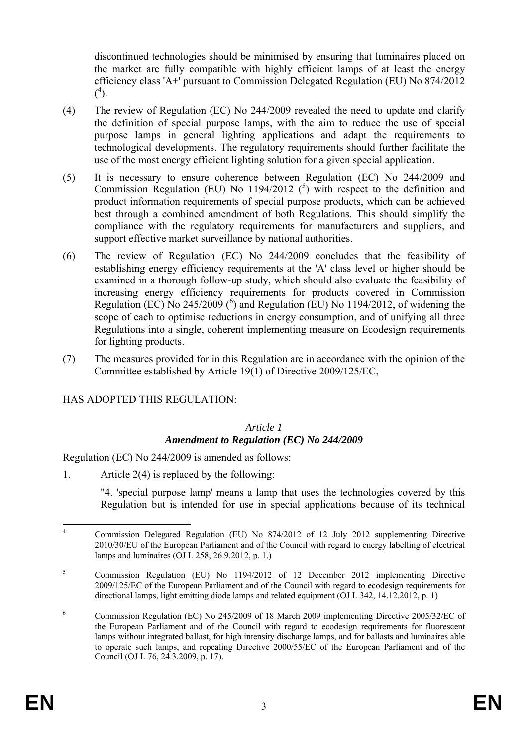discontinued technologies should be minimised by ensuring that luminaires placed on the market are fully compatible with highly efficient lamps of at least the energy efficiency class 'A+' pursuant to Commission Delegated Regulation (EU) No 874/2012  $(^{4})$ .

- (4) The review of Regulation (EC) No 244/2009 revealed the need to update and clarify the definition of special purpose lamps, with the aim to reduce the use of special purpose lamps in general lighting applications and adapt the requirements to technological developments. The regulatory requirements should further facilitate the use of the most energy efficient lighting solution for a given special application.
- (5) It is necessary to ensure coherence between Regulation (EC) No 244/2009 and Commission Regulation (EU) No 1194/2012  $(^5)$  with respect to the definition and product information requirements of special purpose products, which can be achieved best through a combined amendment of both Regulations. This should simplify the compliance with the regulatory requirements for manufacturers and suppliers, and support effective market surveillance by national authorities.
- (6) The review of Regulation (EC) No 244/2009 concludes that the feasibility of establishing energy efficiency requirements at the 'A' class level or higher should be examined in a thorough follow-up study, which should also evaluate the feasibility of increasing energy efficiency requirements for products covered in Commission Regulation (EC) No 245/2009 ( $^6$ ) and Regulation (EU) No 1194/2012, of widening the scope of each to optimise reductions in energy consumption, and of unifying all three Regulations into a single, coherent implementing measure on Ecodesign requirements for lighting products.
- (7) The measures provided for in this Regulation are in accordance with the opinion of the Committee established by Article 19(1) of Directive 2009/125/EC,

## HAS ADOPTED THIS REGULATION:

#### *Article 1 Amendment to Regulation (EC) No 244/2009*

Regulation (EC) No 244/2009 is amended as follows:

1. Article 2(4) is replaced by the following:

"4. 'special purpose lamp' means a lamp that uses the technologies covered by this Regulation but is intended for use in special applications because of its technical

 $\frac{1}{4}$  Commission Delegated Regulation (EU) No 874/2012 of 12 July 2012 supplementing Directive 2010/30/EU of the European Parliament and of the Council with regard to energy labelling of electrical lamps and luminaires (OJ L 258, 26.9.2012, p. 1.)

<sup>5</sup> Commission Regulation (EU) No 1194/2012 of 12 December 2012 implementing Directive 2009/125/EC of the European Parliament and of the Council with regard to ecodesign requirements for directional lamps, light emitting diode lamps and related equipment (OJ L 342, 14.12.2012, p. 1)

<sup>6</sup> Commission Regulation (EC) No 245/2009 of 18 March 2009 implementing Directive 2005/32/EC of the European Parliament and of the Council with regard to ecodesign requirements for fluorescent lamps without integrated ballast, for high intensity discharge lamps, and for ballasts and luminaires able to operate such lamps, and repealing Directive 2000/55/EC of the European Parliament and of the Council (OJ L 76, 24.3.2009, p. 17).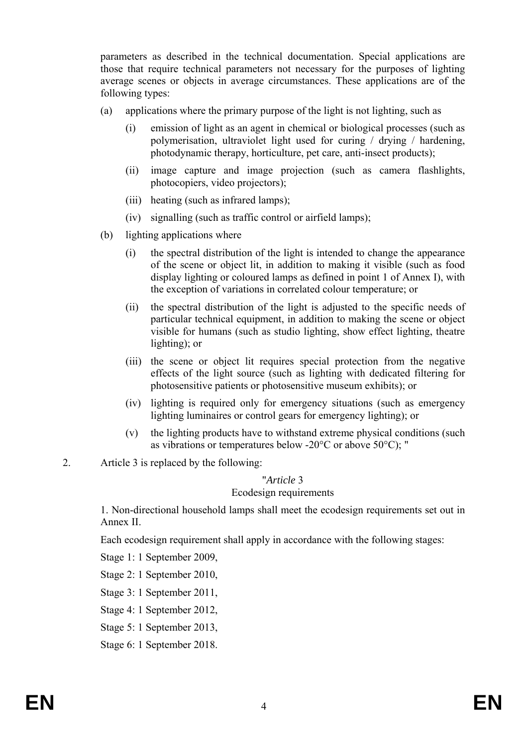parameters as described in the technical documentation. Special applications are those that require technical parameters not necessary for the purposes of lighting average scenes or objects in average circumstances. These applications are of the following types:

- (a) applications where the primary purpose of the light is not lighting, such as
	- (i) emission of light as an agent in chemical or biological processes (such as polymerisation, ultraviolet light used for curing / drying / hardening, photodynamic therapy, horticulture, pet care, anti-insect products);
	- (ii) image capture and image projection (such as camera flashlights, photocopiers, video projectors);
	- (iii) heating (such as infrared lamps);
	- (iv) signalling (such as traffic control or airfield lamps);
- (b) lighting applications where
	- (i) the spectral distribution of the light is intended to change the appearance of the scene or object lit, in addition to making it visible (such as food display lighting or coloured lamps as defined in point 1 of Annex I), with the exception of variations in correlated colour temperature; or
	- (ii) the spectral distribution of the light is adjusted to the specific needs of particular technical equipment, in addition to making the scene or object visible for humans (such as studio lighting, show effect lighting, theatre lighting); or
	- (iii) the scene or object lit requires special protection from the negative effects of the light source (such as lighting with dedicated filtering for photosensitive patients or photosensitive museum exhibits); or
	- (iv) lighting is required only for emergency situations (such as emergency lighting luminaires or control gears for emergency lighting); or
	- (v) the lighting products have to withstand extreme physical conditions (such as vibrations or temperatures below -20°C or above 50°C); "
- 2. Article 3 is replaced by the following:

#### "*Article* 3 Ecodesign requirements

1. Non-directional household lamps shall meet the ecodesign requirements set out in Annex II.

Each ecodesign requirement shall apply in accordance with the following stages:

Stage 1: 1 September 2009,

Stage 2: 1 September 2010,

Stage 3: 1 September 2011,

Stage 4: 1 September 2012,

Stage 5: 1 September 2013,

Stage 6: 1 September 2018.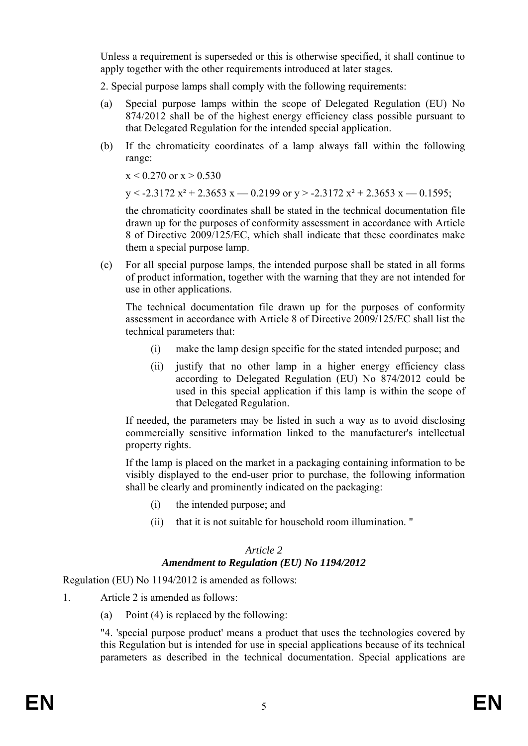Unless a requirement is superseded or this is otherwise specified, it shall continue to apply together with the other requirements introduced at later stages.

2. Special purpose lamps shall comply with the following requirements:

- (a) Special purpose lamps within the scope of Delegated Regulation (EU) No 874/2012 shall be of the highest energy efficiency class possible pursuant to that Delegated Regulation for the intended special application.
- (b) If the chromaticity coordinates of a lamp always fall within the following range:

 $x < 0.270$  or  $x > 0.530$ 

 $y < -2.3172 x^2 + 2.3653 x - 0.2199$  or  $y > -2.3172 x^2 + 2.3653 x - 0.1595$ ;

the chromaticity coordinates shall be stated in the technical documentation file drawn up for the purposes of conformity assessment in accordance with Article 8 of Directive 2009/125/EC, which shall indicate that these coordinates make them a special purpose lamp.

(c) For all special purpose lamps, the intended purpose shall be stated in all forms of product information, together with the warning that they are not intended for use in other applications.

The technical documentation file drawn up for the purposes of conformity assessment in accordance with Article 8 of Directive 2009/125/EC shall list the technical parameters that:

- (i) make the lamp design specific for the stated intended purpose; and
- (ii) justify that no other lamp in a higher energy efficiency class according to Delegated Regulation (EU) No 874/2012 could be used in this special application if this lamp is within the scope of that Delegated Regulation.

If needed, the parameters may be listed in such a way as to avoid disclosing commercially sensitive information linked to the manufacturer's intellectual property rights.

If the lamp is placed on the market in a packaging containing information to be visibly displayed to the end-user prior to purchase, the following information shall be clearly and prominently indicated on the packaging:

- (i) the intended purpose; and
- (ii) that it is not suitable for household room illumination. "

#### *Article 2 Amendment to Regulation (EU) No 1194/2012*

Regulation (EU) No 1194/2012 is amended as follows:

- 1. Article 2 is amended as follows:
	- (a) Point (4) is replaced by the following:

"4. 'special purpose product' means a product that uses the technologies covered by this Regulation but is intended for use in special applications because of its technical parameters as described in the technical documentation. Special applications are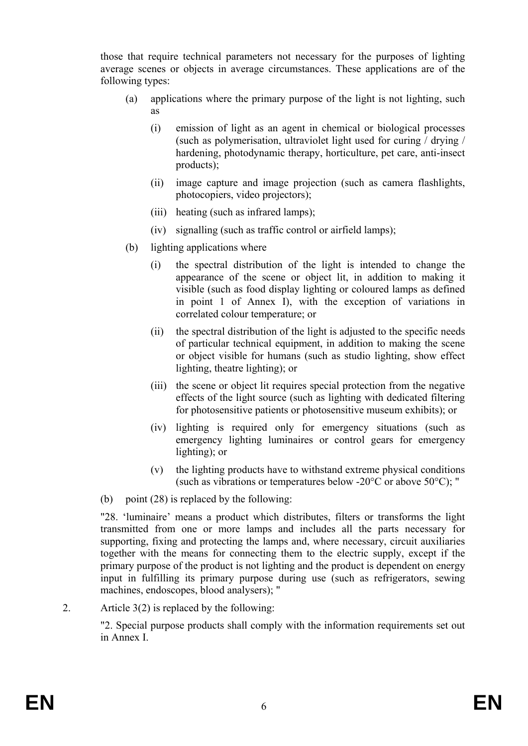those that require technical parameters not necessary for the purposes of lighting average scenes or objects in average circumstances. These applications are of the following types:

- (a) applications where the primary purpose of the light is not lighting, such as
	- (i) emission of light as an agent in chemical or biological processes (such as polymerisation, ultraviolet light used for curing / drying / hardening, photodynamic therapy, horticulture, pet care, anti-insect products);
	- (ii) image capture and image projection (such as camera flashlights, photocopiers, video projectors);
	- (iii) heating (such as infrared lamps);
	- (iv) signalling (such as traffic control or airfield lamps);
- (b) lighting applications where
	- (i) the spectral distribution of the light is intended to change the appearance of the scene or object lit, in addition to making it visible (such as food display lighting or coloured lamps as defined in point 1 of Annex I), with the exception of variations in correlated colour temperature; or
	- (ii) the spectral distribution of the light is adjusted to the specific needs of particular technical equipment, in addition to making the scene or object visible for humans (such as studio lighting, show effect lighting, theatre lighting); or
	- (iii) the scene or object lit requires special protection from the negative effects of the light source (such as lighting with dedicated filtering for photosensitive patients or photosensitive museum exhibits); or
	- (iv) lighting is required only for emergency situations (such as emergency lighting luminaires or control gears for emergency lighting); or
	- (v) the lighting products have to withstand extreme physical conditions (such as vibrations or temperatures below -20 $^{\circ}$ C or above 50 $^{\circ}$ C); "
- (b) point (28) is replaced by the following:

"28. 'luminaire' means a product which distributes, filters or transforms the light transmitted from one or more lamps and includes all the parts necessary for supporting, fixing and protecting the lamps and, where necessary, circuit auxiliaries together with the means for connecting them to the electric supply, except if the primary purpose of the product is not lighting and the product is dependent on energy input in fulfilling its primary purpose during use (such as refrigerators, sewing machines, endoscopes, blood analysers); "

2. Article 3(2) is replaced by the following:

"2. Special purpose products shall comply with the information requirements set out in Annex I.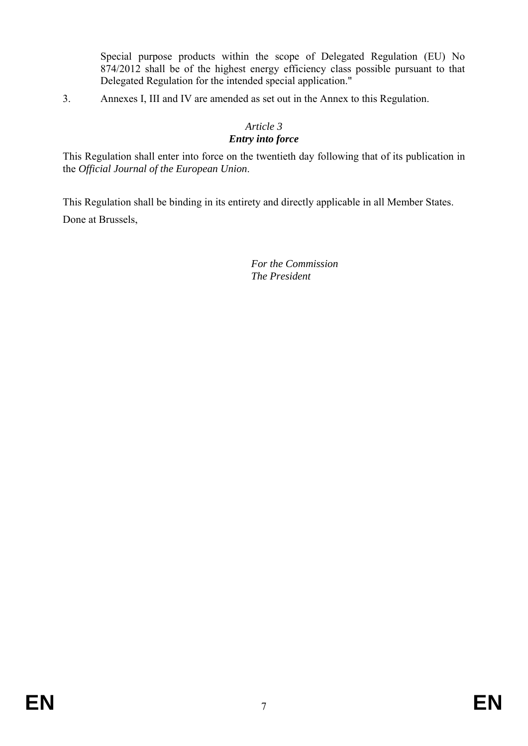Special purpose products within the scope of Delegated Regulation (EU) No 874/2012 shall be of the highest energy efficiency class possible pursuant to that Delegated Regulation for the intended special application."

3. Annexes I, III and IV are amended as set out in the Annex to this Regulation.

# *Article 3*

## *Entry into force*

This Regulation shall enter into force on the twentieth day following that of its publication in the *Official Journal of the European Union*.

This Regulation shall be binding in its entirety and directly applicable in all Member States. Done at Brussels,

> *For the Commission The President*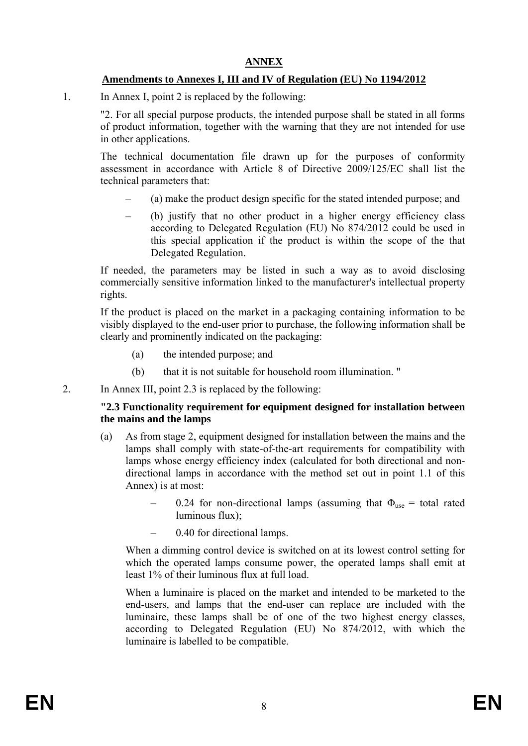## **ANNEX**

## **Amendments to Annexes I, III and IV of Regulation (EU) No 1194/2012**

1. In Annex I, point 2 is replaced by the following:

"2. For all special purpose products, the intended purpose shall be stated in all forms of product information, together with the warning that they are not intended for use in other applications.

The technical documentation file drawn up for the purposes of conformity assessment in accordance with Article 8 of Directive 2009/125/EC shall list the technical parameters that:

- (a) make the product design specific for the stated intended purpose; and
- (b) justify that no other product in a higher energy efficiency class according to Delegated Regulation (EU) No 874/2012 could be used in this special application if the product is within the scope of the that Delegated Regulation.

If needed, the parameters may be listed in such a way as to avoid disclosing commercially sensitive information linked to the manufacturer's intellectual property rights.

If the product is placed on the market in a packaging containing information to be visibly displayed to the end-user prior to purchase, the following information shall be clearly and prominently indicated on the packaging:

- (a) the intended purpose; and
- (b) that it is not suitable for household room illumination. "
- 2. In Annex III, point 2.3 is replaced by the following:

#### **"2.3 Functionality requirement for equipment designed for installation between the mains and the lamps**

- (a) As from stage 2, equipment designed for installation between the mains and the lamps shall comply with state-of-the-art requirements for compatibility with lamps whose energy efficiency index (calculated for both directional and nondirectional lamps in accordance with the method set out in point 1.1 of this Annex) is at most:
	- 0.24 for non-directional lamps (assuming that  $\Phi_{\text{use}} =$  total rated luminous flux);
	- 0.40 for directional lamps.

When a dimming control device is switched on at its lowest control setting for which the operated lamps consume power, the operated lamps shall emit at least 1% of their luminous flux at full load.

When a luminaire is placed on the market and intended to be marketed to the end-users, and lamps that the end-user can replace are included with the luminaire, these lamps shall be of one of the two highest energy classes, according to Delegated Regulation (EU) No 874/2012, with which the luminaire is labelled to be compatible.